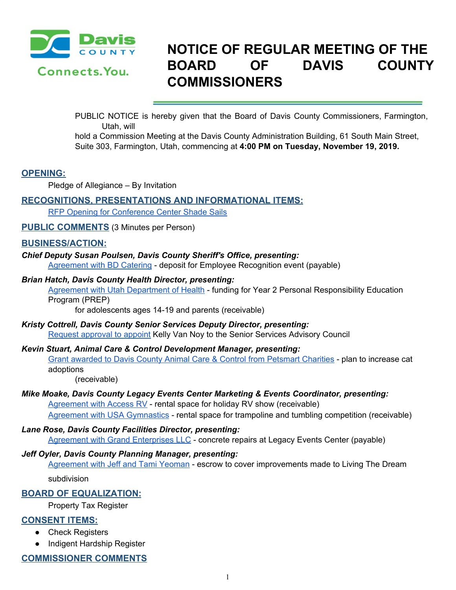

# **NOTICE OF REGULAR MEETING OF THE BOARD OF DAVIS COUNTY COMMISSIONERS**

PUBLIC NOTICE is hereby given that the Board of Davis County Commissioners, Farmington, Utah, will

hold a Commission Meeting at the Davis County Administration Building, 61 South Main Street, Suite 303, Farmington, Utah, commencing at **4:00 PM on Tuesday, November 19, 2019.**

# **OPENING:**

Pledge of Allegiance – By Invitation

# **RECOGNITIONS, PRESENTATIONS AND INFORMATIONAL ITEMS:**

RFP Opening for [Conference](https://drive.google.com/a/co.davis.ut.us/file/d/1bgYY5AN757Lk1TAIAJbzBVSPr3yA3RCZ/view?usp=drivesdk) Center Shade Sails

**PUBLIC COMMENTS** (3 Minutes per Person)

## **BUSINESS/ACTION:**

## *Chief Deputy Susan Poulsen, Davis County Sheriff's Office, presenting:*

[Agreement](https://drive.google.com/a/co.davis.ut.us/file/d/1PkvRESNAzK4sgVJl36jP0lzIRGIs_7DX/view?usp=drivesdk) with BD Catering - deposit for Employee Recognition event (payable)

#### *Brian Hatch, Davis County Health Director, presenting:*

Agreement with Utah [Department](https://drive.google.com/a/co.davis.ut.us/file/d/19khMqIaPcQNpID8lW6hJSutm7qgCq5F8/view?usp=drivesdk) of Health - funding for Year 2 Personal Responsibility Education Program (PREP)

for adolescents ages 14-19 and parents (receivable)

## *Kristy Cottrell, Davis County Senior Services Deputy Director, presenting:* Request [approval](https://drive.google.com/a/co.davis.ut.us/file/d/1iCjowJZ-VFw55g9hFu06ckq4QLW5mOkA/view?usp=drivesdk) to appoint Kelly Van Noy to the Senior Services Advisory Council

#### *Kevin Stuart, Animal Care & Control Development Manager, presenting:*

Grant awarded to Davis County Animal Care & Control from [Petsmart](https://drive.google.com/a/co.davis.ut.us/file/d/1zezcJCVoe9qTNpUz4Za-NjaDudTnikNV/view?usp=drivesdk) Charities - plan to increase cat adoptions

(receivable)

#### *Mike Moake, Davis County Legacy Events Center Marketing & Events Coordinator, presenting:*

[Agreement](https://drive.google.com/a/co.davis.ut.us/file/d/1pa0y4-ZGLB2l9AUdt8RizdA-qlejxzyH/view?usp=drivesdk) with Access RV - rental space for holiday RV show (receivable) Agreement with USA [Gymnastics](https://drive.google.com/a/co.davis.ut.us/file/d/1htgrlmNzeN9SfmTvzJyXaDuxUPn-8t2P/view?usp=drivesdk) - rental space for trampoline and tumbling competition (receivable)

#### *Lane Rose, Davis County Facilities Director, presenting:*

Agreement with Grand [Enterprises](https://drive.google.com/a/co.davis.ut.us/file/d/1UFKETX74DmkcPAgf-NM7lnyLNZv8nCzi/view?usp=drivesdk) LLC - concrete repairs at Legacy Events Center (payable)

## *Jeff Oyler, Davis County Planning Manager, presenting:*

[Agreement](https://drive.google.com/a/co.davis.ut.us/file/d/1xP3Tkoffsl2zT1memlmOvI28T4e1rVmq/view?usp=drivesdk) with Jeff and Tami Yeoman - escrow to cover improvements made to Living The Dream

subdivision

# **BOARD OF EQUALIZATION:**

Property Tax Register

## **CONSENT ITEMS:**

- Check Registers
- Indigent Hardship Register

# **COMMISSIONER COMMENTS**